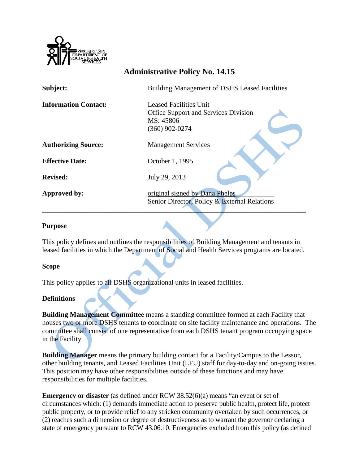

# **Administrative Policy No. 14.15**

| Subject:                    | <b>Building Management of DSHS Leased Facilities</b> |
|-----------------------------|------------------------------------------------------|
| <b>Information Contact:</b> | <b>Leased Facilities Unit</b>                        |
|                             | <b>Office Support and Services Division</b>          |
|                             | MS: 45806                                            |
|                             | $(360)$ 902-0274                                     |
| <b>Authorizing Source:</b>  | <b>Management Services</b>                           |
| <b>Effective Date:</b>      | October 1, 1995                                      |
| <b>Revised:</b>             | July 29, 2013                                        |
| Approved by:                | original signed by Dana Phelps                       |
|                             | Senior Director, Policy & External Relations         |
|                             |                                                      |

### **Purpose**

This policy defines and outlines the responsibilities of Building Management and tenants in leased facilities in which the Department of Social and Health Services programs are located.

### **Scope**

This policy applies to all DSHS organizational units in leased facilities.

### **Definitions**

**Building Management Committee** means a standing committee formed at each Facility that houses two or more DSHS tenants to coordinate on site facility maintenance and operations. The committee shall consist of one representative from each DSHS tenant program occupying space in the Facility

**Building Manager** means the primary building contact for a Facility/Campus to the Lessor, other building tenants, and Leased Facilities Unit (LFU) staff for day-to-day and on-going issues. This position may have other responsibilities outside of these functions and may have responsibilities for multiple facilities.

**Emergency or disaster** (as defined under RCW 38.52(6)(a) means "an event or set of circumstances which: (1) demands immediate action to preserve public health, protect life, protect public property, or to provide relief to any stricken community overtaken by such occurrences, or (2) reaches such a dimension or degree of destructiveness as to warrant the governor declaring a state of emergency pursuant to RCW 43.06.10. Emergencies excluded from this policy (as defined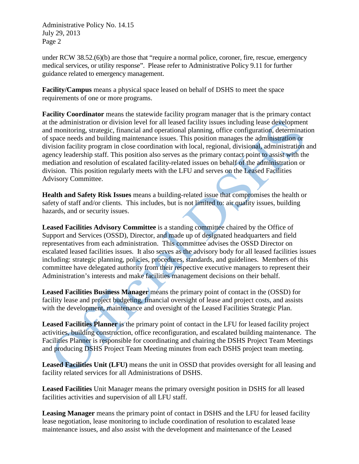under RCW 38.52.(6)(b) are those that "require a normal police, coroner, fire, rescue, emergency medical services, or utility response". Please refer to Administrative Policy 9.11 for further guidance related to emergency management.

**Facility/Campus** means a physical space leased on behalf of DSHS to meet the space requirements of one or more programs.

**Facility Coordinator** means the statewide facility program manager that is the primary contact at the administration or division level for all leased facility issues including lease development and monitoring, strategic, financial and operational planning, office configuration, determination of space needs and building maintenance issues. This position manages the administration or division facility program in close coordination with local, regional, divisional, administration and agency leadership staff. This position also serves as the primary contact point to assist with the mediation and resolution of escalated facility-related issues on behalf of the administration or division. This position regularly meets with the LFU and serves on the Leased Facilities Advisory Committee.

**Health and Safety Risk Issues** means a building-related issue that compromises the health or safety of staff and/or clients. This includes, but is not limited to: air quality issues, building hazards, and or security issues.

**Leased Facilities Advisory Committee** is a standing committee chaired by the Office of Support and Services (OSSD), Director, and made up of designated headquarters and field representatives from each administration. This committee advises the OSSD Director on escalated leased facilities issues. It also serves as the advisory body for all leased facilities issues including: strategic planning, policies, procedures, standards, and guidelines. Members of this committee have delegated authority from their respective executive managers to represent their Administration's interests and make facilities management decisions on their behalf.

**Leased Facilities Business Manager** means the primary point of contact in the (OSSD) for facility lease and project budgeting, financial oversight of lease and project costs, and assists with the development, maintenance and oversight of the Leased Facilities Strategic Plan.

**Leased Facilities Planner** is the primary point of contact in the LFU for leased facility project activities, building construction, office reconfiguration, and escalated building maintenance. The Facilities Planner is responsible for coordinating and chairing the DSHS Project Team Meetings and producing DSHS Project Team Meeting minutes from each DSHS project team meeting.

**Leased Facilities Unit (LFU)** means the unit in OSSD that provides oversight for all leasing and facility related services for all Administrations of DSHS.

**Leased Facilities** Unit Manager means the primary oversight position in DSHS for all leased facilities activities and supervision of all LFU staff.

**Leasing Manager** means the primary point of contact in DSHS and the LFU for leased facility lease negotiation, lease monitoring to include coordination of resolution to escalated lease maintenance issues, and also assist with the development and maintenance of the Leased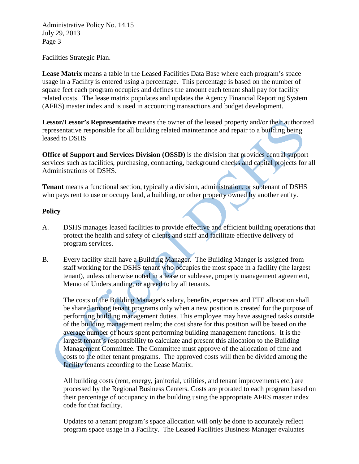Facilities Strategic Plan.

**Lease Matrix** means a table in the Leased Facilities Data Base where each program's space usage in a Facility is entered using a percentage. This percentage is based on the number of square feet each program occupies and defines the amount each tenant shall pay for facility related costs. The lease matrix populates and updates the Agency Financial Reporting System (AFRS) master index and is used in accounting transactions and budget development.

**Lessor/Lessor's Representative** means the owner of the leased property and/or their authorized representative responsible for all building related maintenance and repair to a building being leased to DSHS

**Office of Support and Services Division (OSSD)** is the division that provides central support services such as facilities, purchasing, contracting, background checks and capital projects for all Administrations of DSHS.

**Tenant** means a functional section, typically a division, administration, or subtenant of DSHS who pays rent to use or occupy land, a building, or other property owned by another entity.

# **Policy**

- A. DSHS manages leased facilities to provide effective and efficient building operations that protect the health and safety of clients and staff and facilitate effective delivery of program services.
- B. Every facility shall have a Building Manager. The Building Manger is assigned from staff working for the DSHS tenant who occupies the most space in a facility (the largest tenant), unless otherwise noted in a lease or sublease, property management agreement, Memo of Understanding, or agreed to by all tenants.

The costs of the Building Manager's salary, benefits, expenses and FTE allocation shall be shared among tenant programs only when a new position is created for the purpose of performing building management duties. This employee may have assigned tasks outside of the building management realm; the cost share for this position will be based on the average number of hours spent performing building management functions. It is the largest tenant's responsibility to calculate and present this allocation to the Building Management Committee. The Committee must approve of the allocation of time and costs to the other tenant programs. The approved costs will then be divided among the facility tenants according to the Lease Matrix.

All building costs (rent, energy, janitorial, utilities, and tenant improvements etc.) are processed by the Regional Business Centers. Costs are prorated to each program based on their percentage of occupancy in the building using the appropriate AFRS master index code for that facility.

Updates to a tenant program's space allocation will only be done to accurately reflect program space usage in a Facility. The Leased Facilities Business Manager evaluates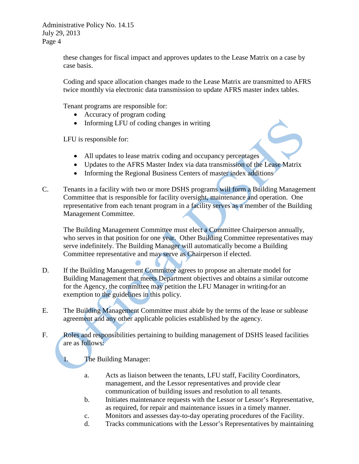> these changes for fiscal impact and approves updates to the Lease Matrix on a case by case basis.

Coding and space allocation changes made to the Lease Matrix are transmitted to AFRS twice monthly via electronic data transmission to update AFRS master index tables.

Tenant programs are responsible for:

- Accuracy of program coding
- Informing LFU of coding changes in writing

LFU is responsible for:

- All updates to lease matrix coding and occupancy percentages
- Updates to the AFRS Master Index via data transmission of the Lease Matrix
- Informing the Regional Business Centers of master index additions
- C. Tenants in a facility with two or more DSHS programs will form a Building Management Committee that is responsible for facility oversight, maintenance and operation. One representative from each tenant program in a facility serves as a member of the Building Management Committee.

The Building Management Committee must elect a Committee Chairperson annually, who serves in that position for one year. Other Building Committee representatives may serve indefinitely. The Building Manager will automatically become a Building Committee representative and may serve as Chairperson if elected.

- D. If the Building Management Committee agrees to propose an alternate model for Building Management that meets Department objectives and obtains a similar outcome for the Agency, the committee may petition the LFU Manager in writing for an exemption to the guidelines in this policy.
- E. The Building Management Committee must abide by the terms of the lease or sublease agreement and any other applicable policies established by the agency.
- F. Roles and responsibilities pertaining to building management of DSHS leased facilities are as follows:

1. The Building Manager:

- a. Acts as liaison between the tenants, LFU staff, Facility Coordinators, management, and the Lessor representatives and provide clear communication of building issues and resolution to all tenants.
- b. Initiates maintenance requests with the Lessor or Lessor's Representative, as required, for repair and maintenance issues in a timely manner.
- c. Monitors and assesses day-to-day operating procedures of the Facility.
- d. Tracks communications with the Lessor's Representatives by maintaining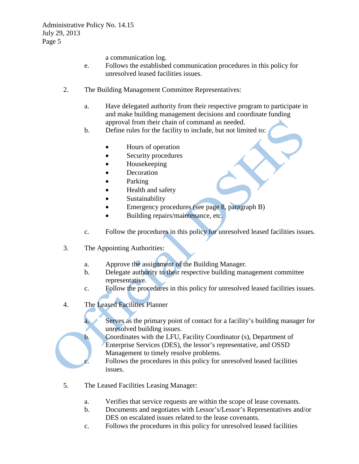a communication log.

- e. Follows the established communication procedures in this policy for unresolved leased facilities issues.
- 2. The Building Management Committee Representatives:
	- a. Have delegated authority from their respective program to participate in and make building management decisions and coordinate funding approval from their chain of command as needed.
	- b. Define rules for the facility to include, but not limited to:
		- Hours of operation
		- Security procedures
		- Housekeeping
		- **Decoration**
		- Parking
		- Health and safety
		- **Sustainability**
		- Emergency procedures (see page 8, paragraph B)
		- Building repairs/maintenance, etc.
	- c. Follow the procedures in this policy for unresolved leased facilities issues.
- 3. The Appointing Authorities:
	- a. Approve the assignment of the Building Manager.
	- b. Delegate authority to their respective building management committee representative.
	- c. Follow the procedures in this policy for unresolved leased facilities issues.
- 4. The Leased Facilities Planner
	- a. Serves as the primary point of contact for a facility's building manager for unresolved building issues.
	- b. Coordinates with the LFU, Facility Coordinator (s), Department of Enterprise Services (DES), the lessor's representative, and OSSD Management to timely resolve problems.
		- Follows the procedures in this policy for unresolved leased facilities issues.
- 5. The Leased Facilities Leasing Manager:
	- a. Verifies that service requests are within the scope of lease covenants.
	- b. Documents and negotiates with Lessor's/Lessor's Representatives and/or DES on escalated issues related to the lease covenants.
	- c. Follows the procedures in this policy for unresolved leased facilities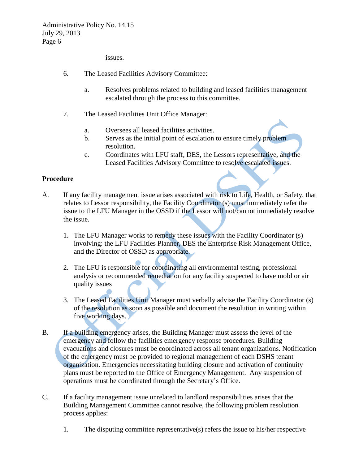issues.

- 6. The Leased Facilities Advisory Committee:
	- a. Resolves problems related to building and leased facilities management escalated through the process to this committee.
- 7. The Leased Facilities Unit Office Manager:
	- a. Oversees all leased facilities activities.
	- b. Serves as the initial point of escalation to ensure timely problem resolution.
	- c. Coordinates with LFU staff, DES, the Lessors representative, and the Leased Facilities Advisory Committee to resolve escalated issues.

# **Procedure**

- A. If any facility management issue arises associated with risk to Life, Health, or Safety, that relates to Lessor responsibility, the Facility Coordinator (s) must immediately refer the issue to the LFU Manager in the OSSD if the Lessor will not/cannot immediately resolve the issue.
	- 1. The LFU Manager works to remedy these issues with the Facility Coordinator (s) involving: the LFU Facilities Planner, DES the Enterprise Risk Management Office, and the Director of OSSD as appropriate.
	- 2. The LFU is responsible for coordinating all environmental testing, professional analysis or recommended remediation for any facility suspected to have mold or air quality issues
	- 3. The Leased Facilities Unit Manager must verbally advise the Facility Coordinator (s) of the resolution as soon as possible and document the resolution in writing within five working days.
- B. If a building emergency arises, the Building Manager must assess the level of the emergency and follow the facilities emergency response procedures. Building evacuations and closures must be coordinated across all tenant organizations. Notification of the emergency must be provided to regional management of each DSHS tenant organization. Emergencies necessitating building closure and activation of continuity plans must be reported to the Office of Emergency Management. Any suspension of operations must be coordinated through the Secretary's Office.
- C. If a facility management issue unrelated to landlord responsibilities arises that the Building Management Committee cannot resolve, the following problem resolution process applies:
	- 1. The disputing committee representative(s) refers the issue to his/her respective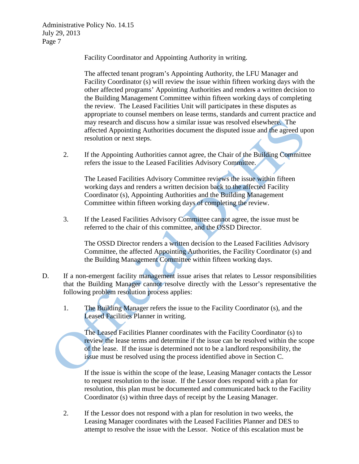Facility Coordinator and Appointing Authority in writing.

The affected tenant program's Appointing Authority, the LFU Manager and Facility Coordinator (s) will review the issue within fifteen working days with the other affected programs' Appointing Authorities and renders a written decision to the Building Management Committee within fifteen working days of completing the review. The Leased Facilities Unit will participates in these disputes as appropriate to counsel members on lease terms, standards and current practice and may research and discuss how a similar issue was resolved elsewhere. The affected Appointing Authorities document the disputed issue and the agreed upon resolution or next steps.

2. If the Appointing Authorities cannot agree, the Chair of the Building Committee refers the issue to the Leased Facilities Advisory Committee.

The Leased Facilities Advisory Committee reviews the issue within fifteen working days and renders a written decision back to the affected Facility Coordinator (s), Appointing Authorities and the Building Management Committee within fifteen working days of completing the review.

3. If the Leased Facilities Advisory Committee cannot agree, the issue must be referred to the chair of this committee, and the OSSD Director.

The OSSD Director renders a written decision to the Leased Facilities Advisory Committee, the affected Appointing Authorities, the Facility Coordinator (s) and the Building Management Committee within fifteen working days.

- D. If a non-emergent facility management issue arises that relates to Lessor responsibilities that the Building Manager cannot resolve directly with the Lessor's representative the following problem resolution process applies:
	- 1. The Building Manager refers the issue to the Facility Coordinator (s), and the Leased Facilities Planner in writing.

The Leased Facilities Planner coordinates with the Facility Coordinator (s) to review the lease terms and determine if the issue can be resolved within the scope of the lease. If the issue is determined not to be a landlord responsibility, the issue must be resolved using the process identified above in Section C.

If the issue is within the scope of the lease, Leasing Manager contacts the Lessor to request resolution to the issue. If the Lessor does respond with a plan for resolution, this plan must be documented and communicated back to the Facility Coordinator (s) within three days of receipt by the Leasing Manager.

2. If the Lessor does not respond with a plan for resolution in two weeks, the Leasing Manager coordinates with the Leased Facilities Planner and DES to attempt to resolve the issue with the Lessor. Notice of this escalation must be